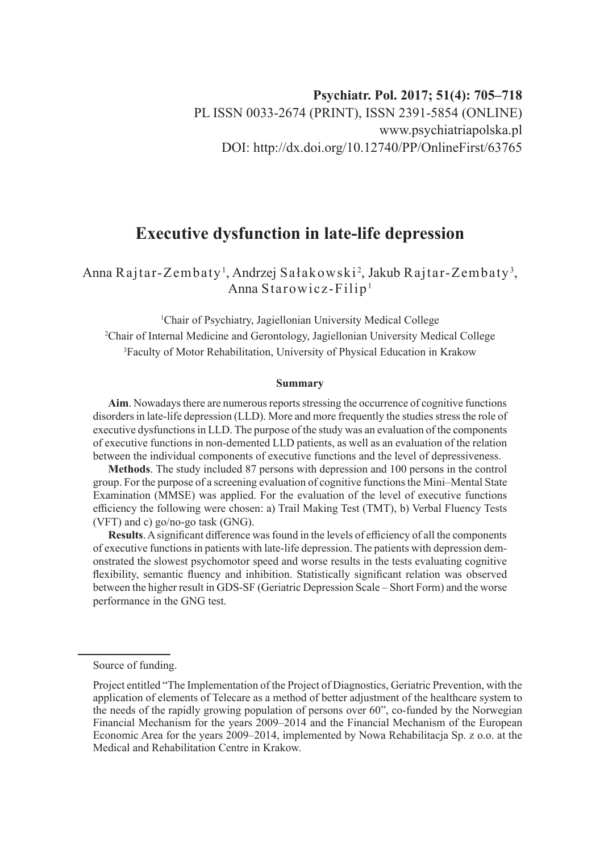# **Executive dysfunction in late-life depression**

Anna Rajtar-Zembaty', Andrzej Sałakowski<sup>2</sup>, Jakub Rajtar-Zembaty<sup>3</sup>, Anna Starowicz-Filip1

1 Chair of Psychiatry, Jagiellonian University Medical College

2 Chair of Internal Medicine and Gerontology, Jagiellonian University Medical College 3 Faculty of Motor Rehabilitation, University of Physical Education in Krakow

#### **Summary**

**Aim**. Nowadays there are numerous reports stressing the occurrence of cognitive functions disorders in late-life depression (LLD). More and more frequently the studies stress the role of executive dysfunctions in LLD. The purpose of the study was an evaluation of the components of executive functions in non-demented LLD patients, as well as an evaluation of the relation between the individual components of executive functions and the level of depressiveness.

**Methods**. The study included 87 persons with depression and 100 persons in the control group. For the purpose of a screening evaluation of cognitive functions the Mini–Mental State Examination (MMSE) was applied. For the evaluation of the level of executive functions efficiency the following were chosen: a) Trail Making Test (TMT), b) Verbal Fluency Tests (VFT) and c) go/no-go task (GNG).

**Results**. A significant difference was found in the levels of efficiency of all the components of executive functions in patients with late-life depression. The patients with depression demonstrated the slowest psychomotor speed and worse results in the tests evaluating cognitive flexibility, semantic fluency and inhibition. Statistically significant relation was observed between the higher result in GDS-SF (Geriatric Depression Scale – Short Form) and the worse performance in the GNG test.

Source of funding.

Project entitled "The Implementation of the Project of Diagnostics, Geriatric Prevention, with the application of elements of Telecare as a method of better adjustment of the healthcare system to the needs of the rapidly growing population of persons over 60", co-funded by the Norwegian Financial Mechanism for the years 2009–2014 and the Financial Mechanism of the European Economic Area for the years 2009–2014, implemented by Nowa Rehabilitacja Sp. z o.o. at the Medical and Rehabilitation Centre in Krakow.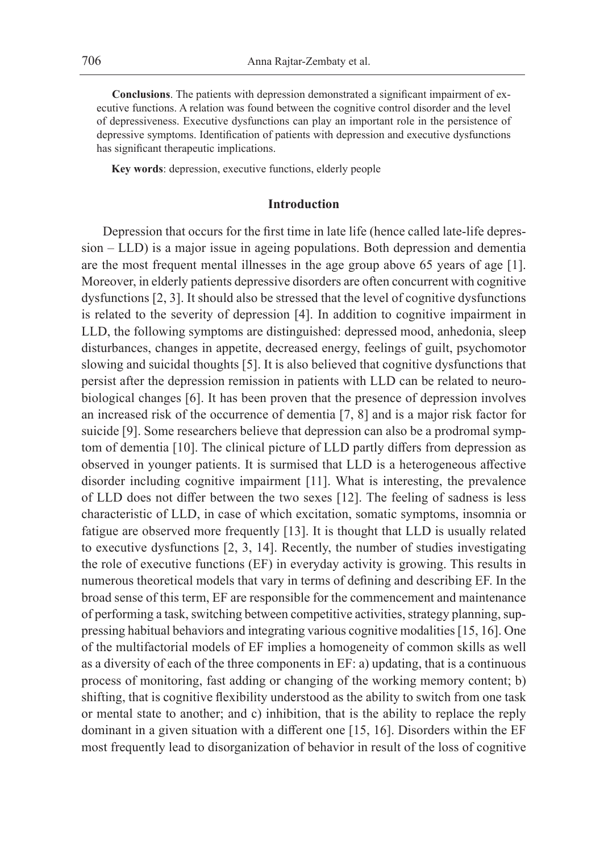**Conclusions**. The patients with depression demonstrated a significant impairment of executive functions. A relation was found between the cognitive control disorder and the level of depressiveness. Executive dysfunctions can play an important role in the persistence of depressive symptoms. Identification of patients with depression and executive dysfunctions has significant therapeutic implications.

**Key words**: depression, executive functions, elderly people

## **Introduction**

Depression that occurs for the first time in late life (hence called late-life depression – LLD) is a major issue in ageing populations. Both depression and dementia are the most frequent mental illnesses in the age group above 65 years of age [1]. Moreover, in elderly patients depressive disorders are often concurrent with cognitive dysfunctions [2, 3]. It should also be stressed that the level of cognitive dysfunctions is related to the severity of depression [4]. In addition to cognitive impairment in LLD, the following symptoms are distinguished: depressed mood, anhedonia, sleep disturbances, changes in appetite, decreased energy, feelings of guilt, psychomotor slowing and suicidal thoughts [5]. It is also believed that cognitive dysfunctions that persist after the depression remission in patients with LLD can be related to neurobiological changes [6]. It has been proven that the presence of depression involves an increased risk of the occurrence of dementia [7, 8] and is a major risk factor for suicide [9]. Some researchers believe that depression can also be a prodromal symptom of dementia [10]. The clinical picture of LLD partly differs from depression as observed in younger patients. It is surmised that LLD is a heterogeneous affective disorder including cognitive impairment [11]. What is interesting, the prevalence of LLD does not differ between the two sexes [12]. The feeling of sadness is less characteristic of LLD, in case of which excitation, somatic symptoms, insomnia or fatigue are observed more frequently [13]. It is thought that LLD is usually related to executive dysfunctions [2, 3, 14]. Recently, the number of studies investigating the role of executive functions (EF) in everyday activity is growing. This results in numerous theoretical models that vary in terms of defining and describing EF. In the broad sense of this term, EF are responsible for the commencement and maintenance of performing a task, switching between competitive activities, strategy planning, suppressing habitual behaviors and integrating various cognitive modalities [15, 16]. One of the multifactorial models of EF implies a homogeneity of common skills as well as a diversity of each of the three components in EF: a) updating, that is a continuous process of monitoring, fast adding or changing of the working memory content; b) shifting, that is cognitive flexibility understood as the ability to switch from one task or mental state to another; and c) inhibition, that is the ability to replace the reply dominant in a given situation with a different one [15, 16]. Disorders within the EF most frequently lead to disorganization of behavior in result of the loss of cognitive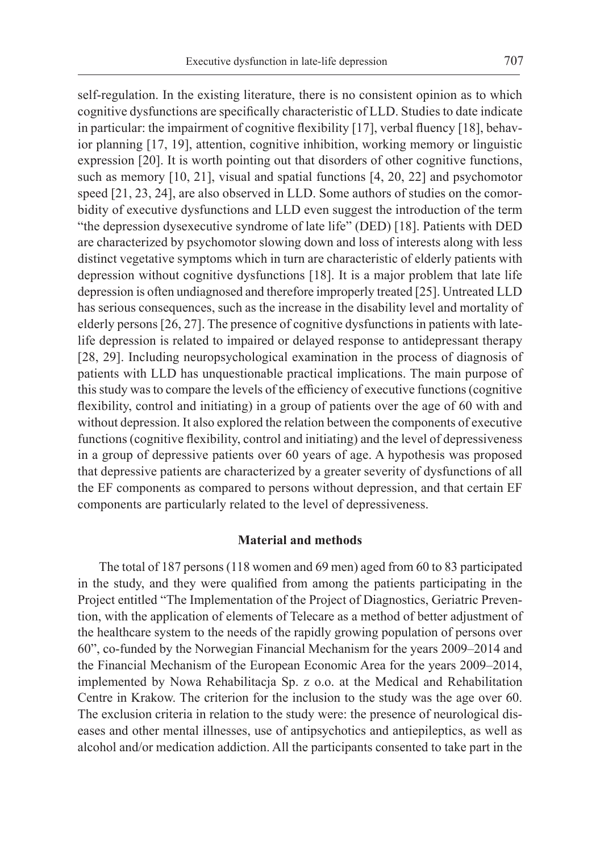self-regulation. In the existing literature, there is no consistent opinion as to which cognitive dysfunctions are specifically characteristic of LLD. Studies to date indicate in particular: the impairment of cognitive flexibility [17], verbal fluency [18], behavior planning [17, 19], attention, cognitive inhibition, working memory or linguistic expression [20]. It is worth pointing out that disorders of other cognitive functions, such as memory [10, 21], visual and spatial functions [4, 20, 22] and psychomotor speed [21, 23, 24], are also observed in LLD. Some authors of studies on the comorbidity of executive dysfunctions and LLD even suggest the introduction of the term "the depression dysexecutive syndrome of late life" (DED) [18]. Patients with DED are characterized by psychomotor slowing down and loss of interests along with less distinct vegetative symptoms which in turn are characteristic of elderly patients with depression without cognitive dysfunctions [18]. It is a major problem that late life depression is often undiagnosed and therefore improperly treated [25]. Untreated LLD has serious consequences, such as the increase in the disability level and mortality of elderly persons [26, 27]. The presence of cognitive dysfunctions in patients with latelife depression is related to impaired or delayed response to antidepressant therapy [28, 29]. Including neuropsychological examination in the process of diagnosis of patients with LLD has unquestionable practical implications. The main purpose of this study was to compare the levels of the efficiency of executive functions (cognitive flexibility, control and initiating) in a group of patients over the age of 60 with and without depression. It also explored the relation between the components of executive functions (cognitive flexibility, control and initiating) and the level of depressiveness in a group of depressive patients over 60 years of age. A hypothesis was proposed that depressive patients are characterized by a greater severity of dysfunctions of all the EF components as compared to persons without depression, and that certain EF components are particularly related to the level of depressiveness.

#### **Material and methods**

The total of 187 persons (118 women and 69 men) aged from 60 to 83 participated in the study, and they were qualified from among the patients participating in the Project entitled "The Implementation of the Project of Diagnostics, Geriatric Prevention, with the application of elements of Telecare as a method of better adjustment of the healthcare system to the needs of the rapidly growing population of persons over 60", co-funded by the Norwegian Financial Mechanism for the years 2009–2014 and the Financial Mechanism of the European Economic Area for the years 2009–2014, implemented by Nowa Rehabilitacja Sp. z o.o. at the Medical and Rehabilitation Centre in Krakow. The criterion for the inclusion to the study was the age over 60. The exclusion criteria in relation to the study were: the presence of neurological diseases and other mental illnesses, use of antipsychotics and antiepileptics, as well as alcohol and/or medication addiction. All the participants consented to take part in the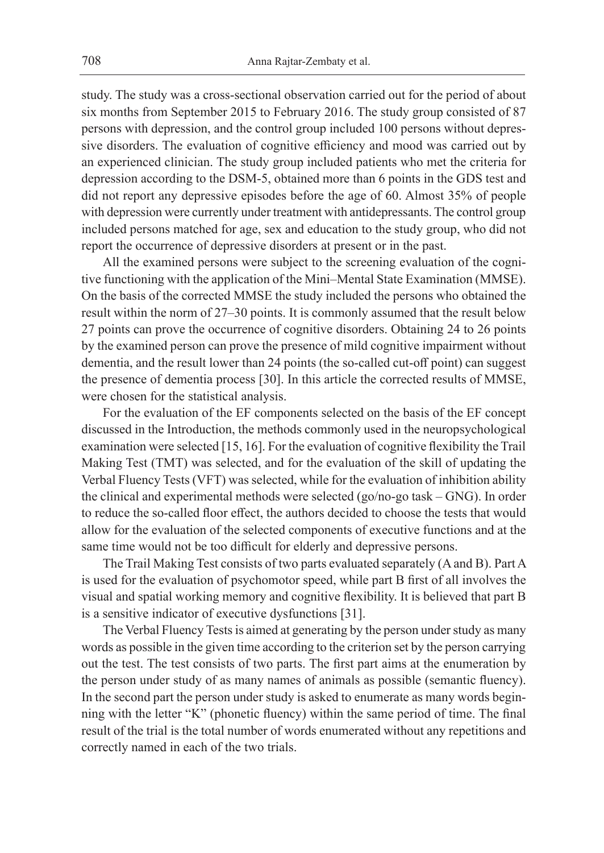study. The study was a cross-sectional observation carried out for the period of about six months from September 2015 to February 2016. The study group consisted of 87 persons with depression, and the control group included 100 persons without depressive disorders. The evaluation of cognitive efficiency and mood was carried out by an experienced clinician. The study group included patients who met the criteria for depression according to the DSM-5, obtained more than 6 points in the GDS test and did not report any depressive episodes before the age of 60. Almost 35% of people with depression were currently under treatment with antidepressants. The control group included persons matched for age, sex and education to the study group, who did not report the occurrence of depressive disorders at present or in the past.

All the examined persons were subject to the screening evaluation of the cognitive functioning with the application of the Mini–Mental State Examination (MMSE). On the basis of the corrected MMSE the study included the persons who obtained the result within the norm of 27–30 points. It is commonly assumed that the result below 27 points can prove the occurrence of cognitive disorders. Obtaining 24 to 26 points by the examined person can prove the presence of mild cognitive impairment without dementia, and the result lower than 24 points (the so-called cut-off point) can suggest the presence of dementia process [30]. In this article the corrected results of MMSE, were chosen for the statistical analysis.

For the evaluation of the EF components selected on the basis of the EF concept discussed in the Introduction, the methods commonly used in the neuropsychological examination were selected [15, 16]. For the evaluation of cognitive flexibility the Trail Making Test (TMT) was selected, and for the evaluation of the skill of updating the Verbal Fluency Tests (VFT) was selected, while for the evaluation of inhibition ability the clinical and experimental methods were selected (go/no-go task – GNG). In order to reduce the so-called floor effect, the authors decided to choose the tests that would allow for the evaluation of the selected components of executive functions and at the same time would not be too difficult for elderly and depressive persons.

The Trail Making Test consists of two parts evaluated separately (A and B). Part A is used for the evaluation of psychomotor speed, while part B first of all involves the visual and spatial working memory and cognitive flexibility. It is believed that part B is a sensitive indicator of executive dysfunctions [31].

The Verbal Fluency Tests is aimed at generating by the person under study as many words as possible in the given time according to the criterion set by the person carrying out the test. The test consists of two parts. The first part aims at the enumeration by the person under study of as many names of animals as possible (semantic fluency). In the second part the person under study is asked to enumerate as many words beginning with the letter "K" (phonetic fluency) within the same period of time. The final result of the trial is the total number of words enumerated without any repetitions and correctly named in each of the two trials.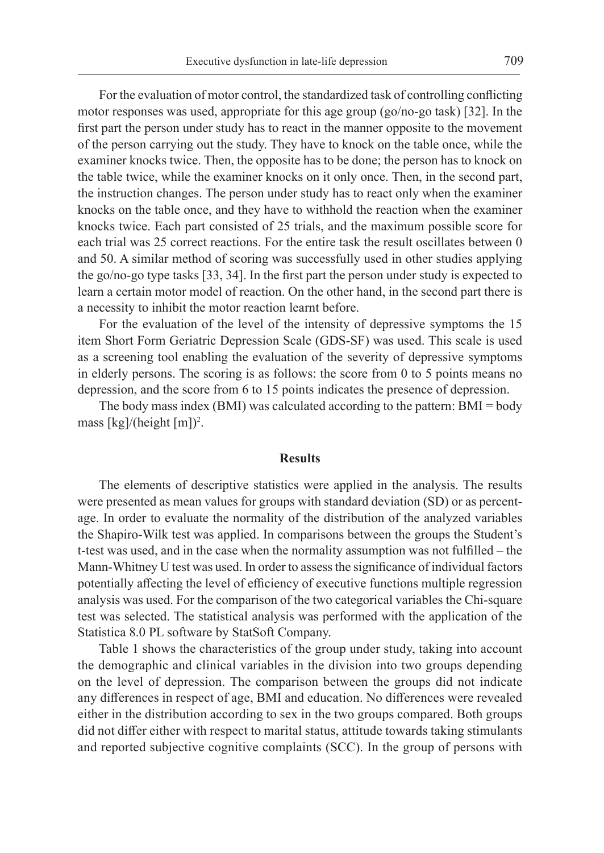For the evaluation of motor control, the standardized task of controlling conflicting motor responses was used, appropriate for this age group (go/no-go task) [32]. In the first part the person under study has to react in the manner opposite to the movement of the person carrying out the study. They have to knock on the table once, while the examiner knocks twice. Then, the opposite has to be done; the person has to knock on the table twice, while the examiner knocks on it only once. Then, in the second part, the instruction changes. The person under study has to react only when the examiner knocks on the table once, and they have to withhold the reaction when the examiner knocks twice. Each part consisted of 25 trials, and the maximum possible score for each trial was 25 correct reactions. For the entire task the result oscillates between 0 and 50. A similar method of scoring was successfully used in other studies applying the go/no-go type tasks [33, 34]. In the first part the person under study is expected to learn a certain motor model of reaction. On the other hand, in the second part there is a necessity to inhibit the motor reaction learnt before.

For the evaluation of the level of the intensity of depressive symptoms the 15 item Short Form Geriatric Depression Scale (GDS-SF) was used. This scale is used as a screening tool enabling the evaluation of the severity of depressive symptoms in elderly persons. The scoring is as follows: the score from 0 to 5 points means no depression, and the score from 6 to 15 points indicates the presence of depression.

The body mass index (BMI) was calculated according to the pattern: BMI = body mass [kg]/(height [m])<sup>2</sup>.

### **Results**

The elements of descriptive statistics were applied in the analysis. The results were presented as mean values for groups with standard deviation (SD) or as percentage. In order to evaluate the normality of the distribution of the analyzed variables the Shapiro-Wilk test was applied. In comparisons between the groups the Student's t-test was used, and in the case when the normality assumption was not fulfilled – the Mann-Whitney U test was used. In order to assess the significance of individual factors potentially affecting the level of efficiency of executive functions multiple regression analysis was used. For the comparison of the two categorical variables the Chi-square test was selected. The statistical analysis was performed with the application of the Statistica 8.0 PL software by StatSoft Company.

Table 1 shows the characteristics of the group under study, taking into account the demographic and clinical variables in the division into two groups depending on the level of depression. The comparison between the groups did not indicate any differences in respect of age, BMI and education. No differences were revealed either in the distribution according to sex in the two groups compared. Both groups did not differ either with respect to marital status, attitude towards taking stimulants and reported subjective cognitive complaints (SCC). In the group of persons with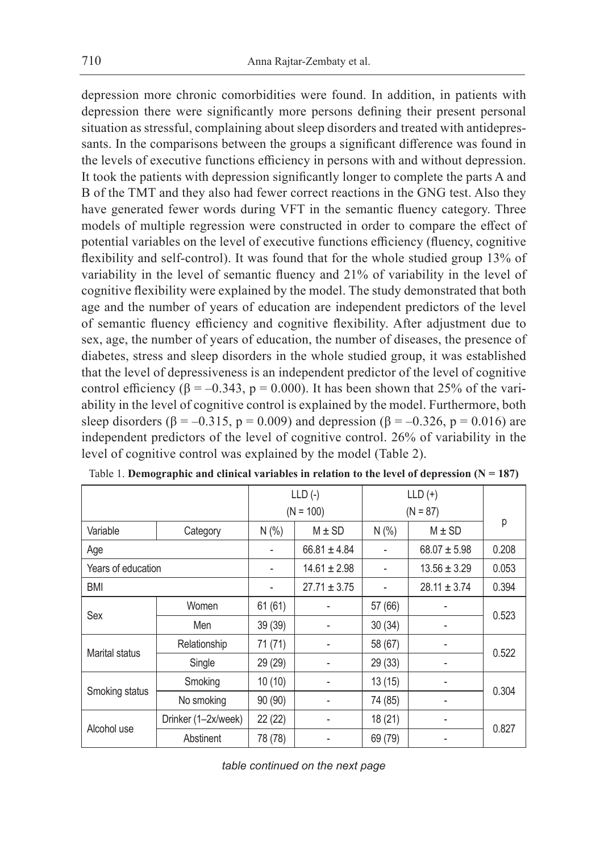depression more chronic comorbidities were found. In addition, in patients with depression there were significantly more persons defining their present personal situation as stressful, complaining about sleep disorders and treated with antidepressants. In the comparisons between the groups a significant difference was found in the levels of executive functions efficiency in persons with and without depression. It took the patients with depression significantly longer to complete the parts A and B of the TMT and they also had fewer correct reactions in the GNG test. Also they have generated fewer words during VFT in the semantic fluency category. Three models of multiple regression were constructed in order to compare the effect of potential variables on the level of executive functions efficiency (fluency, cognitive flexibility and self-control). It was found that for the whole studied group 13% of variability in the level of semantic fluency and 21% of variability in the level of cognitive flexibility were explained by the model. The study demonstrated that both age and the number of years of education are independent predictors of the level of semantic fluency efficiency and cognitive flexibility. After adjustment due to sex, age, the number of years of education, the number of diseases, the presence of diabetes, stress and sleep disorders in the whole studied group, it was established that the level of depressiveness is an independent predictor of the level of cognitive control efficiency ( $\beta = -0.343$ ,  $p = 0.000$ ). It has been shown that 25% of the variability in the level of cognitive control is explained by the model. Furthermore, both sleep disorders ( $\beta = -0.315$ ,  $p = 0.009$ ) and depression ( $\beta = -0.326$ ,  $p = 0.016$ ) are independent predictors of the level of cognitive control. 26% of variability in the level of cognitive control was explained by the model (Table 2).

|                    |                     |         | $LLD$ (-)        | $LLD (+)$        |                  |       |  |
|--------------------|---------------------|---------|------------------|------------------|------------------|-------|--|
|                    |                     |         | $(N = 100)$      | $(N = 87)$       |                  |       |  |
| Variable           | Category            | N(%     | $M \pm SD$       | N(% )            | $M \pm SD$       | р     |  |
| Age                |                     |         | $66.81 \pm 4.84$ |                  | $68.07 \pm 5.98$ | 0.208 |  |
| Years of education |                     |         | $14.61 \pm 2.98$ | $13.56 \pm 3.29$ |                  | 0.053 |  |
| <b>BMI</b>         |                     |         | $27.71 \pm 3.75$ |                  | $28.11 \pm 3.74$ | 0.394 |  |
| Sex                | Women               | 61(61)  |                  | 57 (66)          |                  | 0.523 |  |
|                    | Men                 | 39 (39) |                  | 30(34)           |                  |       |  |
| Marital status     | Relationship        | 71 (71) |                  | 58 (67)          |                  | 0.522 |  |
|                    | Single              | 29 (29) |                  | 29 (33)          |                  |       |  |
| Smoking status     | Smoking             | 10(10)  |                  | 13(15)           |                  |       |  |
|                    | No smoking          | 90 (90) |                  | 74 (85)          |                  | 0.304 |  |
| Alcohol use        | Drinker (1-2x/week) | 22 (22) | ٠                | 18(21)           |                  | 0.827 |  |
|                    | Abstinent           | 78 (78) |                  | 69 (79)          |                  |       |  |

| Table 1. Demographic and clinical variables in relation to the level of depression ( $N = 187$ ) |  |  |  |  |
|--------------------------------------------------------------------------------------------------|--|--|--|--|
|--------------------------------------------------------------------------------------------------|--|--|--|--|

*table continued on the next page*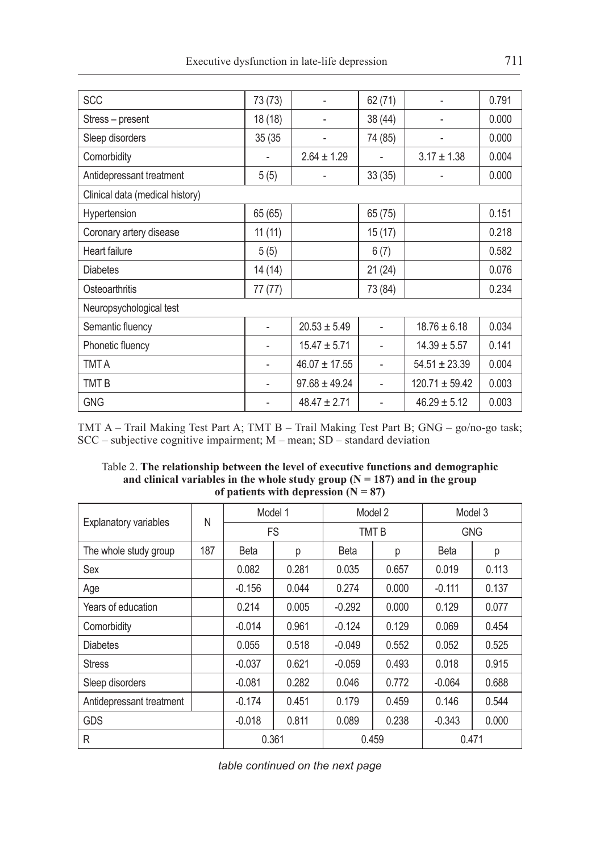| <b>SCC</b>                      | 73 (73) |                   | 62 (71) |                    | 0.791 |  |  |  |  |
|---------------------------------|---------|-------------------|---------|--------------------|-------|--|--|--|--|
| Stress – present                | 18 (18) |                   | 38 (44) |                    | 0.000 |  |  |  |  |
| Sleep disorders                 | 35 (35  |                   | 74 (85) |                    | 0.000 |  |  |  |  |
| Comorbidity                     |         | $2.64 \pm 1.29$   |         | $3.17 \pm 1.38$    | 0.004 |  |  |  |  |
| Antidepressant treatment        | 5(5)    |                   | 33(35)  |                    | 0.000 |  |  |  |  |
| Clinical data (medical history) |         |                   |         |                    |       |  |  |  |  |
| Hypertension                    | 65 (65) |                   | 65 (75) |                    | 0.151 |  |  |  |  |
| Coronary artery disease         | 11(11)  |                   | 15 (17) |                    | 0.218 |  |  |  |  |
| Heart failure                   | 5(5)    |                   | 6(7)    |                    | 0.582 |  |  |  |  |
| <b>Diabetes</b>                 | 14(14)  |                   | 21(24)  |                    | 0.076 |  |  |  |  |
| Osteoarthritis                  | 77 (77) |                   | 73 (84) |                    | 0.234 |  |  |  |  |
| Neuropsychological test         |         |                   |         |                    |       |  |  |  |  |
| Semantic fluency                |         | $20.53 \pm 5.49$  |         | $18.76 \pm 6.18$   | 0.034 |  |  |  |  |
| Phonetic fluency                |         | $15.47 \pm 5.71$  |         | $14.39 \pm 5.57$   | 0.141 |  |  |  |  |
| <b>TMT A</b>                    |         | $46.07 \pm 17.55$ |         | $54.51 \pm 23.39$  | 0.004 |  |  |  |  |
| TMT B                           |         | $97.68 \pm 49.24$ |         | $120.71 \pm 59.42$ | 0.003 |  |  |  |  |
| <b>GNG</b>                      |         | $48.47 \pm 2.71$  |         | $46.29 \pm 5.12$   | 0.003 |  |  |  |  |

TMT A – Trail Making Test Part A; TMT B – Trail Making Test Part B; GNG – go/no-go task;  $SCC$  – subjective cognitive impairment;  $M$  – mean;  $SD$  – standard deviation

Table 2. **The relationship between the level of executive functions and demographic** and clinical variables in the whole study group  $(N = 187)$  and in the group of patients with depression  $(N = 87)$ 

|                              | N   | Model 1     |       | Model 2     |       | Model 3     |       |
|------------------------------|-----|-------------|-------|-------------|-------|-------------|-------|
| <b>Explanatory variables</b> |     | <b>FS</b>   |       | <b>TMTB</b> |       | <b>GNG</b>  |       |
| The whole study group        | 187 | <b>Beta</b> | р     | Beta        | р     | <b>Beta</b> | р     |
| Sex                          |     | 0.082       | 0.281 | 0.035       | 0.657 | 0.019       | 0.113 |
| Age                          |     | $-0.156$    | 0.044 | 0.274       | 0.000 | $-0.111$    | 0.137 |
| Years of education           |     | 0.214       | 0.005 | $-0.292$    | 0.000 | 0.129       | 0.077 |
| Comorbidity                  |     | $-0.014$    | 0.961 | $-0.124$    | 0.129 | 0.069       | 0.454 |
| <b>Diabetes</b>              |     | 0.055       | 0.518 | $-0.049$    | 0.552 | 0.052       | 0.525 |
| <b>Stress</b>                |     | $-0.037$    | 0.621 | $-0.059$    | 0.493 | 0.018       | 0.915 |
| Sleep disorders              |     | $-0.081$    | 0.282 | 0.046       | 0.772 | $-0.064$    | 0.688 |
| Antidepressant treatment     |     | $-0.174$    | 0.451 | 0.179       | 0.459 | 0.146       | 0.544 |
| <b>GDS</b>                   |     | $-0.018$    | 0.811 | 0.089       | 0.238 | $-0.343$    | 0.000 |
| R                            |     | 0.361       |       | 0.459       |       | 0.471       |       |

*table continued on the next page*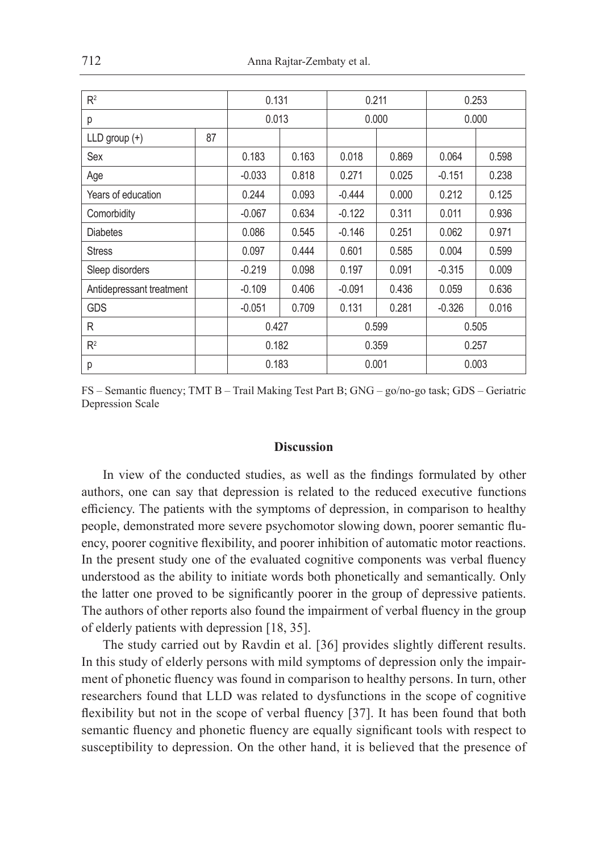| R <sup>2</sup>           |    | 0.131    |       | 0.211    |       | 0.253    |       |
|--------------------------|----|----------|-------|----------|-------|----------|-------|
| р                        |    | 0.013    |       | 0.000    |       | 0.000    |       |
| $LLD$ group $(+)$        | 87 |          |       |          |       |          |       |
| Sex                      |    | 0.183    | 0.163 | 0.018    | 0.869 | 0.064    | 0.598 |
| Age                      |    | $-0.033$ | 0.818 | 0.271    | 0.025 | $-0.151$ | 0.238 |
| Years of education       |    | 0.244    | 0.093 | $-0.444$ | 0.000 | 0.212    | 0.125 |
| Comorbidity              |    | $-0.067$ | 0.634 | $-0.122$ | 0.311 | 0.011    | 0.936 |
| <b>Diabetes</b>          |    | 0.086    | 0.545 | $-0.146$ | 0.251 | 0.062    | 0.971 |
| <b>Stress</b>            |    | 0.097    | 0.444 | 0.601    | 0.585 | 0.004    | 0.599 |
| Sleep disorders          |    | $-0.219$ | 0.098 | 0.197    | 0.091 | $-0.315$ | 0.009 |
| Antidepressant treatment |    | $-0.109$ | 0.406 | $-0.091$ | 0.436 | 0.059    | 0.636 |
| <b>GDS</b>               |    | $-0.051$ | 0.709 | 0.131    | 0.281 | $-0.326$ | 0.016 |
| R                        |    | 0.427    |       | 0.599    |       | 0.505    |       |
| R <sup>2</sup>           |    | 0.182    |       | 0.359    |       | 0.257    |       |
| р                        |    | 0.183    |       | 0.001    |       | 0.003    |       |

FS – Semantic fluency; TMT B – Trail Making Test Part B; GNG – go/no-go task; GDS – Geriatric Depression Scale

#### **Discussion**

In view of the conducted studies, as well as the findings formulated by other authors, one can say that depression is related to the reduced executive functions efficiency. The patients with the symptoms of depression, in comparison to healthy people, demonstrated more severe psychomotor slowing down, poorer semantic fluency, poorer cognitive flexibility, and poorer inhibition of automatic motor reactions. In the present study one of the evaluated cognitive components was verbal fluency understood as the ability to initiate words both phonetically and semantically. Only the latter one proved to be significantly poorer in the group of depressive patients. The authors of other reports also found the impairment of verbal fluency in the group of elderly patients with depression [18, 35].

The study carried out by Ravdin et al. [36] provides slightly different results. In this study of elderly persons with mild symptoms of depression only the impairment of phonetic fluency was found in comparison to healthy persons. In turn, other researchers found that LLD was related to dysfunctions in the scope of cognitive flexibility but not in the scope of verbal fluency [37]. It has been found that both semantic fluency and phonetic fluency are equally significant tools with respect to susceptibility to depression. On the other hand, it is believed that the presence of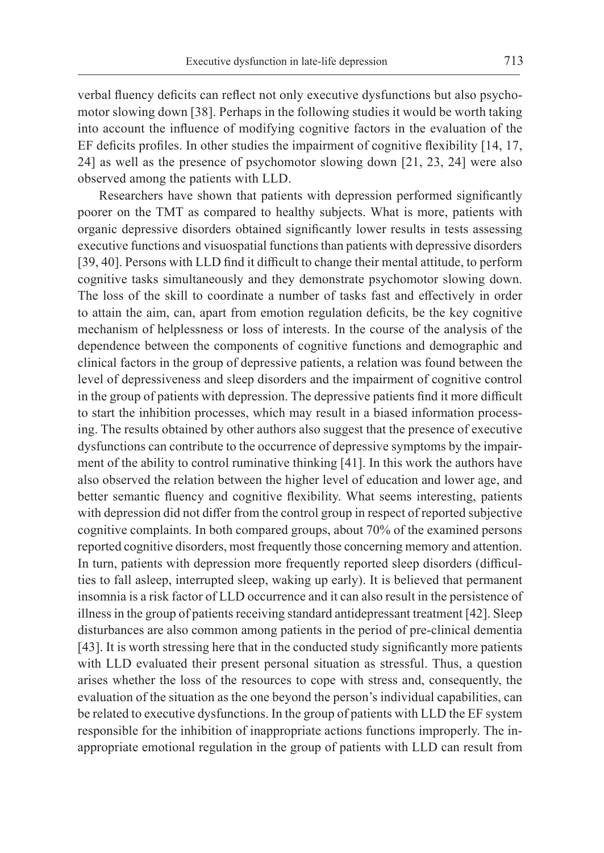verbal fluency deficits can reflect not only executive dysfunctions but also psychomotor slowing down [38]. Perhaps in the following studies it would be worth taking into account the influence of modifying cognitive factors in the evaluation of the EF deficits profiles. In other studies the impairment of cognitive flexibility [14, 17, 24] as well as the presence of psychomotor slowing down [21, 23, 24] were also observed among the patients with LLD.

Researchers have shown that patients with depression performed significantly poorer on the TMT as compared to healthy subjects. What is more, patients with organic depressive disorders obtained significantly lower results in tests assessing executive functions and visuospatial functions than patients with depressive disorders [39, 40]. Persons with LLD find it difficult to change their mental attitude, to perform cognitive tasks simultaneously and they demonstrate psychomotor slowing down. The loss of the skill to coordinate a number of tasks fast and effectively in order to attain the aim, can, apart from emotion regulation deficits, be the key cognitive mechanism of helplessness or loss of interests. In the course of the analysis of the dependence between the components of cognitive functions and demographic and clinical factors in the group of depressive patients, a relation was found between the level of depressiveness and sleep disorders and the impairment of cognitive control in the group of patients with depression. The depressive patients find it more difficult to start the inhibition processes, which may result in a biased information processing. The results obtained by other authors also suggest that the presence of executive dysfunctions can contribute to the occurrence of depressive symptoms by the impairment of the ability to control ruminative thinking [41]. In this work the authors have also observed the relation between the higher level of education and lower age, and better semantic fluency and cognitive flexibility. What seems interesting, patients with depression did not differ from the control group in respect of reported subjective cognitive complaints. In both compared groups, about 70% of the examined persons reported cognitive disorders, most frequently those concerning memory and attention. In turn, patients with depression more frequently reported sleep disorders (difficulties to fall asleep, interrupted sleep, waking up early). It is believed that permanent insomnia is a risk factor of LLD occurrence and it can also result in the persistence of illness in the group of patients receiving standard antidepressant treatment [42]. Sleep disturbances are also common among patients in the period of pre-clinical dementia [43]. It is worth stressing here that in the conducted study significantly more patients with LLD evaluated their present personal situation as stressful. Thus, a question arises whether the loss of the resources to cope with stress and, consequently, the evaluation of the situation as the one beyond the person's individual capabilities, can be related to executive dysfunctions. In the group of patients with LLD the EF system responsible for the inhibition of inappropriate actions functions improperly. The inappropriate emotional regulation in the group of patients with LLD can result from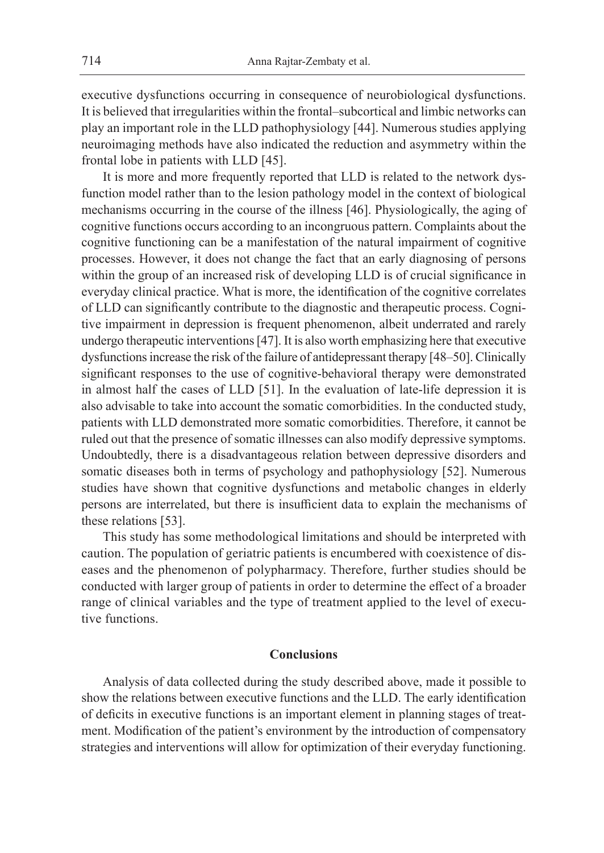executive dysfunctions occurring in consequence of neurobiological dysfunctions. It is believed that irregularities within the frontal–subcortical and limbic networks can play an important role in the LLD pathophysiology [44]. Numerous studies applying neuroimaging methods have also indicated the reduction and asymmetry within the frontal lobe in patients with LLD [45].

It is more and more frequently reported that LLD is related to the network dysfunction model rather than to the lesion pathology model in the context of biological mechanisms occurring in the course of the illness [46]. Physiologically, the aging of cognitive functions occurs according to an incongruous pattern. Complaints about the cognitive functioning can be a manifestation of the natural impairment of cognitive processes. However, it does not change the fact that an early diagnosing of persons within the group of an increased risk of developing LLD is of crucial significance in everyday clinical practice. What is more, the identification of the cognitive correlates of LLD can significantly contribute to the diagnostic and therapeutic process. Cognitive impairment in depression is frequent phenomenon, albeit underrated and rarely undergo therapeutic interventions [47]. It is also worth emphasizing here that executive dysfunctions increase the risk of the failure of antidepressant therapy [48–50]. Clinically significant responses to the use of cognitive-behavioral therapy were demonstrated in almost half the cases of LLD [51]. In the evaluation of late-life depression it is also advisable to take into account the somatic comorbidities. In the conducted study, patients with LLD demonstrated more somatic comorbidities. Therefore, it cannot be ruled out that the presence of somatic illnesses can also modify depressive symptoms. Undoubtedly, there is a disadvantageous relation between depressive disorders and somatic diseases both in terms of psychology and pathophysiology [52]. Numerous studies have shown that cognitive dysfunctions and metabolic changes in elderly persons are interrelated, but there is insufficient data to explain the mechanisms of these relations [53].

This study has some methodological limitations and should be interpreted with caution. The population of geriatric patients is encumbered with coexistence of diseases and the phenomenon of polypharmacy. Therefore, further studies should be conducted with larger group of patients in order to determine the effect of a broader range of clinical variables and the type of treatment applied to the level of executive functions.

## **Conclusions**

Analysis of data collected during the study described above, made it possible to show the relations between executive functions and the LLD. The early identification of deficits in executive functions is an important element in planning stages of treatment. Modification of the patient's environment by the introduction of compensatory strategies and interventions will allow for optimization of their everyday functioning.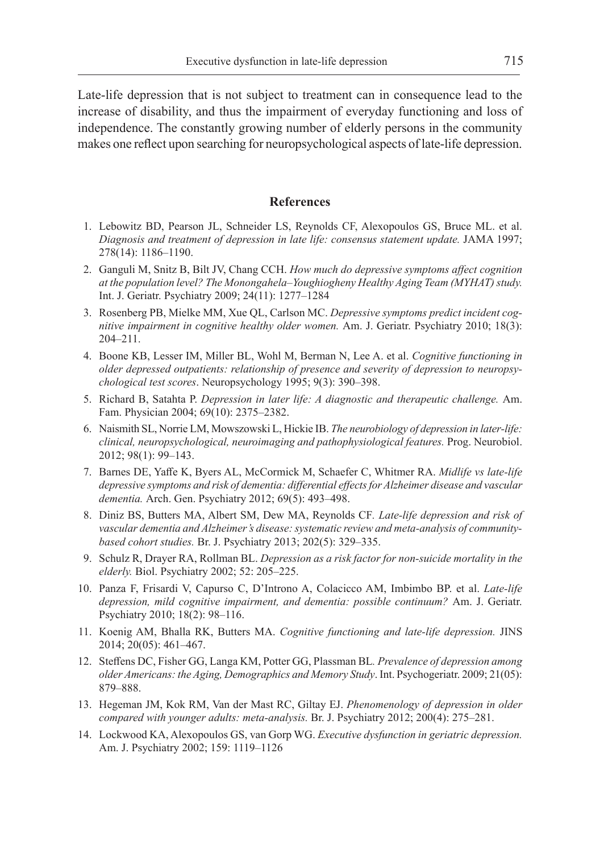Late-life depression that is not subject to treatment can in consequence lead to the increase of disability, and thus the impairment of everyday functioning and loss of independence. The constantly growing number of elderly persons in the community makes one reflect upon searching for neuropsychological aspects of late-life depression.

#### **References**

- 1. Lebowitz BD, Pearson JL, Schneider LS, Reynolds CF, Alexopoulos GS, Bruce ML. et al. *Diagnosis and treatment of depression in late life: consensus statement update.* JAMA 1997; 278(14): 1186–1190.
- 2. Ganguli M, Snitz B, Bilt JV, Chang CCH. *How much do depressive symptoms affect cognition at the population level? The Monongahela–Youghiogheny Healthy Aging Team (MYHAT) study.*  Int. J. Geriatr. Psychiatry 2009; 24(11): 1277–1284
- 3. Rosenberg PB, Mielke MM, Xue QL, Carlson MC. *Depressive symptoms predict incident cognitive impairment in cognitive healthy older women.* Am. J. Geriatr. Psychiatry 2010; 18(3): 204–211.
- 4. Boone KB, Lesser IM, Miller BL, Wohl M, Berman N, Lee A. et al. *Cognitive functioning in older depressed outpatients: relationship of presence and severity of depression to neuropsychological test scores*. Neuropsychology 1995; 9(3): 390–398.
- 5. Richard B, Satahta P. *Depression in later life: A diagnostic and therapeutic challenge.* Am. Fam. Physician 2004; 69(10): 2375–2382.
- 6. Naismith SL, Norrie LM, Mowszowski L, Hickie IB. *The neurobiology of depression in later-life: clinical, neuropsychological, neuroimaging and pathophysiological features.* Prog. Neurobiol. 2012; 98(1): 99–143.
- 7. Barnes DE, Yaffe K, Byers AL, McCormick M, Schaefer C, Whitmer RA. *Midlife vs late-life depressive symptoms and risk of dementia: differential effects for Alzheimer disease and vascular dementia.* Arch. Gen. Psychiatry 2012; 69(5): 493–498.
- 8. Diniz BS, Butters MA, Albert SM, Dew MA, Reynolds CF*. Late-life depression and risk of vascular dementia and Alzheimer's disease: systematic review and meta-analysis of communitybased cohort studies.* Br. J. Psychiatry 2013; 202(5): 329–335.
- 9. Schulz R, Drayer RA, Rollman BL. *Depression as a risk factor for non-suicide mortality in the elderly.* Biol. Psychiatry 2002; 52: 205–225.
- 10. Panza F, Frisardi V, Capurso C, D'Introno A, Colacicco AM, Imbimbo BP. et al. *Late-life depression, mild cognitive impairment, and dementia: possible continuum?* Am. J. Geriatr. Psychiatry 2010; 18(2): 98–116.
- 11. Koenig AM, Bhalla RK, Butters MA. *Cognitive functioning and late-life depression.* JINS 2014; 20(05): 461–467.
- 12. Steffens DC, Fisher GG, Langa KM, Potter GG, Plassman BL*. Prevalence of depression among older Americans: the Aging, Demographics and Memory Study*. Int. Psychogeriatr. 2009; 21(05): 879–888.
- 13. Hegeman JM, Kok RM, Van der Mast RC, Giltay EJ. *Phenomenology of depression in older compared with younger adults: meta-analysis.* Br. J. Psychiatry 2012; 200(4): 275–281.
- 14. Lockwood KA, Alexopoulos GS, van Gorp WG. *Executive dysfunction in geriatric depression.*  Am. J. Psychiatry 2002; 159: 1119–1126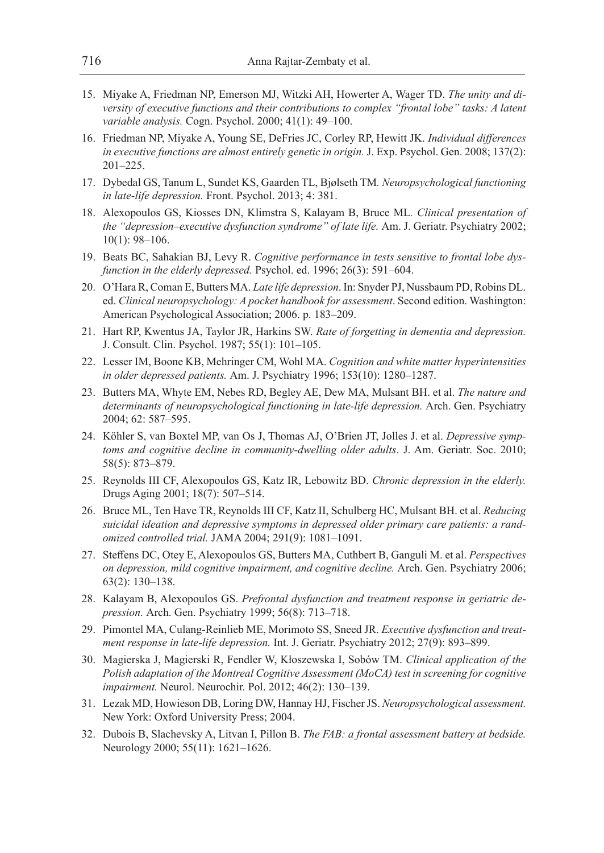- 15. Miyake A, Friedman NP, Emerson MJ, Witzki AH, Howerter A, Wager TD. *The unity and diversity of executive functions and their contributions to complex "frontal lobe" tasks: A latent variable analysis.* Cogn. Psychol. 2000; 41(1): 49–100.
- 16. Friedman NP, Miyake A, Young SE, DeFries JC, Corley RP, Hewitt JK. *Individual differences in executive functions are almost entirely genetic in origin.* J. Exp. Psychol. Gen. 2008; 137(2): 201–225.
- 17. Dybedal GS, Tanum L, Sundet KS, Gaarden TL, Bjølseth TM*. Neuropsychological functioning in late-life depression.* Front. Psychol. 2013; 4: 381.
- 18. Alexopoulos GS, Kiosses DN, Klimstra S, Kalayam B, Bruce ML*. Clinical presentation of the "depression–executive dysfunction syndrome" of late life.* Am. J. Geriatr. Psychiatry 2002; 10(1): 98–106.
- 19. Beats BC, Sahakian BJ, Levy R. *Cognitive performance in tests sensitive to frontal lobe dysfunction in the elderly depressed.* Psychol. ed. 1996; 26(3): 591–604.
- 20. O'Hara R, Coman E, Butters MA. *Late life depression*. In: Snyder PJ, Nussbaum PD, Robins DL. ed. *Clinical neuropsychology: A pocket handbook for assessment*. Second edition. Washington: American Psychological Association; 2006. p. 183–209.
- 21. Hart RP, Kwentus JA, Taylor JR, Harkins SW. *Rate of forgetting in dementia and depression.*  J. Consult. Clin. Psychol. 1987; 55(1): 101–105.
- 22. Lesser IM, Boone KB, Mehringer CM, Wohl MA. *Cognition and white matter hyperintensities in older depressed patients.* Am. J. Psychiatry 1996; 153(10): 1280–1287.
- 23. Butters MA, Whyte EM, Nebes RD, Begley AE, Dew MA, Mulsant BH. et al. *The nature and*  determinants of neuropsychological functioning in late-life depression. Arch. Gen. Psychiatry 2004; 62: 587–595.
- 24. Köhler S, van Boxtel MP, van Os J, Thomas AJ, O'Brien JT, Jolles J. et al. *Depressive symptoms and cognitive decline in community‐dwelling older adults*. J. Am. Geriatr. Soc. 2010; 58(5): 873–879.
- 25. Reynolds III CF, Alexopoulos GS, Katz IR, Lebowitz BD. *Chronic depression in the elderly.*  Drugs Aging 2001; 18(7): 507–514.
- 26. Bruce ML, Ten Have TR, Reynolds III CF, Katz II, Schulberg HC, Mulsant BH. et al. *Reducing suicidal ideation and depressive symptoms in depressed older primary care patients: a randomized controlled trial.* JAMA 2004; 291(9): 1081–1091.
- 27. Steffens DC, Otey E, Alexopoulos GS, Butters MA, Cuthbert B, Ganguli M. et al. *Perspectives on depression, mild cognitive impairment, and cognitive decline.* Arch. Gen. Psychiatry 2006; 63(2): 130–138.
- 28. Kalayam B, Alexopoulos GS. *Prefrontal dysfunction and treatment response in geriatric depression.* Arch. Gen. Psychiatry 1999; 56(8): 713–718.
- 29. Pimontel MA, Culang‐Reinlieb ME, Morimoto SS, Sneed JR. *Executive dysfunction and treatment response in late‐life depression.* Int. J. Geriatr. Psychiatry 2012; 27(9): 893–899.
- 30. Magierska J, Magierski R, Fendler W, Kłoszewska I, Sobów TM. *Clinical application of the Polish adaptation of the Montreal Cognitive Assessment (MoCA) test in screening for cognitive impairment.* Neurol. Neurochir. Pol. 2012; 46(2): 130–139.
- 31. Lezak MD, Howieson DB, Loring DW, Hannay HJ, Fischer JS. *Neuropsychological assessment.*  New York: Oxford University Press; 2004.
- 32. Dubois B, Slachevsky A, Litvan I, Pillon B. *The FAB: a frontal assessment battery at bedside.*  Neurology 2000; 55(11): 1621–1626.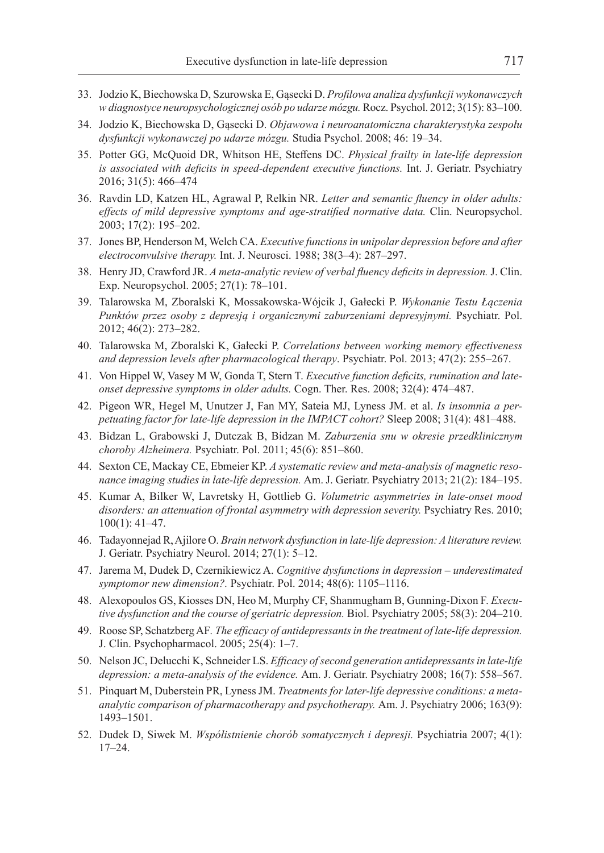- 33. Jodzio K, Biechowska D, Szurowska E, Gąsecki D. *Profilowa analiza dysfunkcji wykonawczych w diagnostyce neuropsychologicznej osób po udarze mózgu.* Rocz. Psychol. 2012; 3(15): 83–100.
- 34. Jodzio K, Biechowska D, Gąsecki D. *Objawowa i neuroanatomiczna charakterystyka zespołu dysfunkcji wykonawczej po udarze mózgu.* Studia Psychol. 2008; 46: 19–34.
- 35. Potter GG, McQuoid DR, Whitson HE, Steffens DC. *Physical frailty in late‐life depression is associated with deficits in speed‐dependent executive functions.* Int. J. Geriatr. Psychiatry 2016; 31(5): 466–474
- 36. Ravdin LD, Katzen HL, Agrawal P, Relkin NR. *Letter and semantic fluency in older adults: effects of mild depressive symptoms and age-stratified normative data.* Clin. Neuropsychol. 2003; 17(2): 195–202.
- 37. Jones BP, Henderson M, Welch CA. *Executive functions in unipolar depression before and after electroconvulsive therapy.* Int. J. Neurosci. 1988; 38(3–4): 287–297.
- 38. Henry JD, Crawford JR. *A meta-analytic review of verbal fluency deficits in depression.* J. Clin. Exp. Neuropsychol. 2005; 27(1): 78–101.
- 39. Talarowska M, Zboralski K, Mossakowska-Wójcik J, Gałecki P. *Wykonanie Testu Łączenia*  Punktów przez osoby z depresją i organicznymi zaburzeniami depresyjnymi. Psychiatr. Pol. 2012; 46(2): 273–282.
- 40. Talarowska M, Zboralski K, Gałecki P. *Correlations between working memory effectiveness and depression levels after pharmacological therapy*. Psychiatr. Pol. 2013; 47(2): 255–267.
- 41. Von Hippel W, Vasey M W, Gonda T, Stern T. *Executive function deficits, rumination and lateonset depressive symptoms in older adults.* Cogn. Ther. Res. 2008; 32(4): 474–487.
- 42. Pigeon WR, Hegel M, Unutzer J, Fan MY, Sateia MJ, Lyness JM. et al. *Is insomnia a perpetuating factor for late-life depression in the IMPACT cohort?* Sleep 2008; 31(4): 481–488.
- 43. Bidzan L, Grabowski J, Dutczak B, Bidzan M. *Zaburzenia snu w okresie przedklinicznym choroby Alzheimera.* Psychiatr. Pol. 2011; 45(6): 851–860.
- 44. Sexton CE, Mackay CE, Ebmeier KP. *A systematic review and meta-analysis of magnetic resonance imaging studies in late-life depression.* Am. J. Geriatr. Psychiatry 2013; 21(2): 184–195.
- 45. Kumar A, Bilker W, Lavretsky H, Gottlieb G. *Volumetric asymmetries in late-onset mood*  disorders: an attenuation of frontal asymmetry with depression severity. Psychiatry Res. 2010; 100(1): 41–47.
- 46. Tadayonnejad R, Ajilore O. *Brain network dysfunction in late-life depression: A literature review.*  J. Geriatr. Psychiatry Neurol. 2014; 27(1): 5–12.
- 47. Jarema M, Dudek D, Czernikiewicz A. *Cognitive dysfunctions in depression underestimated symptomor new dimension?.* Psychiatr. Pol. 2014; 48(6): 1105–1116.
- 48. Alexopoulos GS, Kiosses DN, Heo M, Murphy CF, Shanmugham B, Gunning-Dixon F. *Executive dysfunction and the course of geriatric depression.* Biol. Psychiatry 2005; 58(3): 204–210.
- 49. Roose SP, Schatzberg AF*. The efficacy of antidepressants in the treatment of late-life depression.*  J. Clin. Psychopharmacol. 2005; 25(4): 1–7.
- 50. Nelson JC, Delucchi K, Schneider LS. *Efficacy of second generation antidepressants in late-life depression: a meta-analysis of the evidence.* Am. J. Geriatr. Psychiatry 2008; 16(7): 558–567.
- 51. Pinquart M, Duberstein PR, Lyness JM. *Treatments for later-life depressive conditions: a metaanalytic comparison of pharmacotherapy and psychotherapy.* Am. J. Psychiatry 2006; 163(9): 1493–1501.
- 52. Dudek D, Siwek M. *Współistnienie chorób somatycznych i depresji.* Psychiatria 2007; 4(1): 17–24.